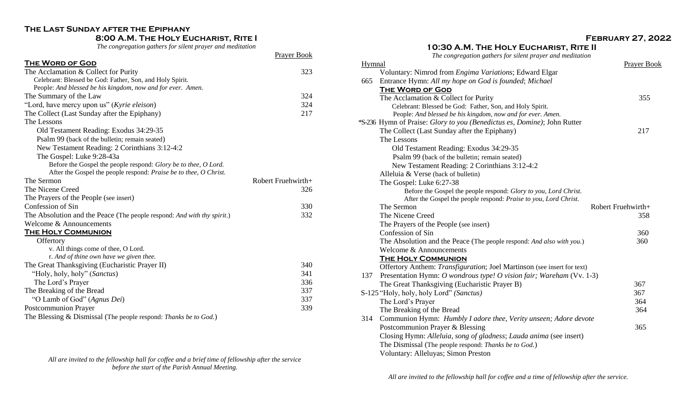# **The Last Sunday after the Epiphany**

# **8:00 A.M. The Holy Eucharist, Rite I**

*The congregation gathers for silent prayer and meditation*

Prayer Book

| <b>THE WORD OF GOD</b>                                                  |                    |
|-------------------------------------------------------------------------|--------------------|
| The Acclamation & Collect for Purity                                    | 323                |
| Celebrant: Blessed be God: Father, Son, and Holy Spirit.                |                    |
| People: And blessed be his kingdom, now and for ever. Amen.             |                    |
| The Summary of the Law                                                  | 324                |
| "Lord, have mercy upon us" (Kyrie eleison)                              | 324                |
| The Collect (Last Sunday after the Epiphany)                            | 217                |
| The Lessons                                                             |                    |
| Old Testament Reading: Exodus 34:29-35                                  |                    |
| Psalm 99 (back of the bulletin; remain seated)                          |                    |
| New Testament Reading: 2 Corinthians 3:12-4:2                           |                    |
| The Gospel: Luke 9:28-43a                                               |                    |
| Before the Gospel the people respond: Glory be to thee, O Lord.         |                    |
| After the Gospel the people respond: Praise be to thee, O Christ.       |                    |
| The Sermon                                                              | Robert Fruehwirth+ |
| The Nicene Creed                                                        | 326                |
| The Prayers of the People (see insert)                                  |                    |
| Confession of Sin                                                       | 330                |
| The Absolution and the Peace (The people respond: And with thy spirit.) | 332                |
| Welcome & Announcements                                                 |                    |
| THE HOLY COMMUNION                                                      |                    |
| Offertory                                                               |                    |
| v. All things come of thee, O Lord.                                     |                    |
| r. And of thine own have we given thee.                                 |                    |
| The Great Thanksgiving (Eucharistic Prayer II)                          | 340                |
| "Holy, holy, holy" (Sanctus)                                            | 341                |
| The Lord's Prayer                                                       | 336                |
| The Breaking of the Bread                                               | 337                |
| "O Lamb of God" (Agnus Dei)                                             |                    |
|                                                                         | 337                |
| <b>Postcommunion Prayer</b>                                             | 339                |

*All are invited to the fellowship hall for coffee and a brief time of fellowship after the service before the start of the Parish Annual Meeting.*

# **10:30 A.M. The Holy Eucharist, Rite II**

*The congregation gathers for silent prayer and meditation*

| Hymnal |                                                                          | Prayer Book        |
|--------|--------------------------------------------------------------------------|--------------------|
|        | Voluntary: Nimrod from Engima Variations; Edward Elgar                   |                    |
| 665    | Entrance Hymn: All my hope on God is founded; Michael                    |                    |
|        | <b>THE WORD OF GOD</b>                                                   |                    |
|        | The Acclamation & Collect for Purity                                     | 355                |
|        | Celebrant: Blessed be God: Father, Son, and Holy Spirit.                 |                    |
|        | People: And blessed be his kingdom, now and for ever. Amen.              |                    |
|        | *S-236 Hymn of Praise: Glory to you (Benedictus es, Domine); John Rutter |                    |
|        | The Collect (Last Sunday after the Epiphany)                             | 217                |
|        | The Lessons                                                              |                    |
|        | Old Testament Reading: Exodus 34:29-35                                   |                    |
|        | Psalm 99 (back of the bulletin; remain seated)                           |                    |
|        | New Testament Reading: 2 Corinthians 3:12-4:2                            |                    |
|        | Alleluia & Verse (back of bulletin)                                      |                    |
|        | The Gospel: Luke 6:27-38                                                 |                    |
|        | Before the Gospel the people respond: Glory to you, Lord Christ.         |                    |
|        | After the Gospel the people respond: Praise to you, Lord Christ.         |                    |
|        | The Sermon                                                               | Robert Fruehwirth+ |
|        | The Nicene Creed                                                         | 358                |
|        | The Prayers of the People (see insert)                                   |                    |
|        | Confession of Sin                                                        | 360                |
|        | The Absolution and the Peace (The people respond: And also with you.)    | 360                |
|        | Welcome & Announcements                                                  |                    |
|        | <b>THE HOLY COMMUNION</b>                                                |                    |
|        | Offertory Anthem: Transfiguration; Joel Martinson (see insert for text)  |                    |
| 137    | Presentation Hymn: O wondrous type! O vision fair; Wareham (Vv. 1-3)     |                    |
|        | The Great Thanksgiving (Eucharistic Prayer B)                            | 367                |
|        | S-125 "Holy, holy, holy Lord" (Sanctus)                                  | 367                |
|        | The Lord's Prayer                                                        | 364                |
|        | The Breaking of the Bread                                                | 364                |
| 314    | Communion Hymn: Humbly I adore thee, Verity unseen; Adore devote         |                    |
|        | Postcommunion Prayer & Blessing                                          | 365                |
|        |                                                                          |                    |
|        | Closing Hymn: Alleluia, song of gladness; Lauda anima (see insert)       |                    |
|        | The Dismissal (The people respond: Thanks be to God.)                    |                    |
|        | Voluntary: Alleluyas; Simon Preston                                      |                    |

*All are invited to the fellowship hall for coffee and a time of fellowship after the service.*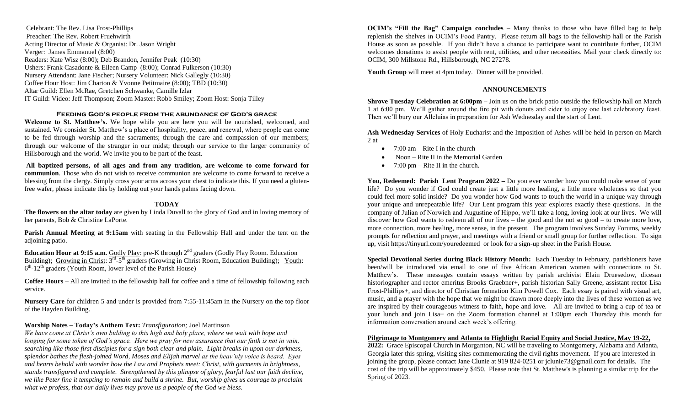Celebrant: The Rev. Lisa Frost-Phillips Preacher: The Rev. Robert Fruehwirth Acting Director of Music & Organist: Dr. Jason Wright Verger: James Emmanuel (8:00) Readers: Kate Wisz (8:00); Deb Brandon, Jennifer Peak (10:30) Ushers: Frank Casadonte & Eileen Camp (8:00); Conrad Fulkerson (10:30) Nursery Attendant: Jane Fischer; Nursery Volunteer: Nick Gallegly (10:30) Coffee Hour Host: Jim Charton & Yvonne Petitmaire (8:00); TBD (10:30) Altar Guild: Ellen McRae, Gretchen Schwanke, Camille Izlar IT Guild: Video: Jeff Thompson; Zoom Master: Robb Smiley; Zoom Host: Sonja Tilley

#### **Feeding God's people from the abundance of God's grace**

**Welcome to St. Matthew's.** We hope while you are here you will be nourished, welcomed, and sustained. We consider St. Matthew's a place of hospitality, peace, and renewal, where people can come to be fed through worship and the sacraments; through the care and compassion of our members; through our welcome of the stranger in our midst; through our service to the larger community of Hillsborough and the world. We invite you to be part of the feast.

**All baptized persons, of all ages and from any tradition, are welcome to come forward for communion**. Those who do not wish to receive communion are welcome to come forward to receive a blessing from the clergy. Simply cross your arms across your chest to indicate this. If you need a glutenfree wafer, please indicate this by holding out your hands palms facing down.

## **TODAY**

**The flowers on the altar today** are given by Linda Duvall to the glory of God and in loving memory of her parents, Bob & Christine LaPorte.

**Parish Annual Meeting at 9:15am** with seating in the Fellowship Hall and under the tent on the adjoining patio.

**Education Hour at 9:15 a.m.** Godly Play: pre-K through 2nd graders (Godly Play Room. Education Building); Growing in Christ:  $3^{rd}-5^{th}$  graders (Growing in Christ Room, Education Building); Youth: 6<sup>th</sup>-12<sup>th</sup> graders (Youth Room, lower level of the Parish House)

**Coffee Hours** – All are invited to the fellowship hall for coffee and a time of fellowship following each service.

**Nursery Care** for children 5 and under is provided from 7:55-11:45am in the Nursery on the top floor of the Hayden Building.

# **Worship Notes – Today's Anthem Text:** *Transfiguration;* Joel Martinson

*We have come at Christ's own bidding to this high and holy place, where we wait with hope and longing for some token of God's grace. Here we pray for new assurance that our faith is not in vain, searching like those first disciples for a sign both clear and plain. Light breaks in upon our darkness, splendor bathes the flesh-joined Word, Moses and Elijah marvel as the heav'nly voice is heard. Eyes and hearts behold with wonder how the Law and Prophets meet: Christ, with garments in brightness, stands transfigured and complete. Strengthened by this glimpse of glory, fearful last our faith decline, we like Peter fine it tempting to remain and build a shrine. But, worship gives us courage to proclaim what we profess, that our daily lives may prove us a people of the God we bless.*

**OCIM's "Fill the Bag" Campaign concludes** – Many thanks to those who have filled bag to help replenish the shelves in OCIM's Food Pantry. Please return all bags to the fellowship hall or the Parish House as soon as possible. If you didn't have a chance to participate want to contribute further, OCIM welcomes donations to assist people with rent, utilities, and other necessities. Mail your check directly to: OCIM, 300 Millstone Rd., Hillsborough, NC 27278.

**Youth Group** will meet at 4pm today. Dinner will be provided.

## **ANNOUNCEMENTS**

**Shrove Tuesday Celebration at 6:00pm –** Join us on the brick patio outside the fellowship hall on March 1 at 6:00 pm. We'll gather around the fire pit with donuts and cider to enjoy one last celebratory feast. Then we'll bury our Alleluias in preparation for Ash Wednesday and the start of Lent.

**Ash Wednesday Services** of Holy Eucharist and the Imposition of Ashes will be held in person on March 2 at

- $\bullet$  7:00 am Rite I in the church
- Noon Rite II in the Memorial Garden
- 7:00 pm Rite II in the church.

**You, Redeemed: Parish Lent Program 2022 –** Do you ever wonder how you could make sense of your life? Do you wonder if God could create just a little more healing, a little more wholeness so that you could feel more solid inside? Do you wonder how God wants to touch the world in a unique way through your unique and unrepeatable life? Our Lent program this year explores exactly these questions. In the company of Julian of Norwich and Augustine of Hippo, we'll take a long, loving look at our lives. We will discover how God wants to redeem all of our lives – the good and the not so good – to create more love, more connection, more healing, more sense, in the present. The program involves Sunday Forums, weekly prompts for reflection and prayer, and meetings with a friend or small group for further reflection. To sign up, visit https://tinyurl.com/youredeemed or look for a sign-up sheet in the Parish House.

**Special Devotional Series during Black History Month:** Each Tuesday in February, parishioners have been/will be introduced via email to one of five African American women with connections to St. Matthew's. These messages contain essays written by parish archivist Elain Druesedow, dicesan historiographer and rector emeritus Brooks Graebner+, parish historian Sally Greene, assistant rector Lisa Frost-Phillips+, and director of Christian formation Kim Powell Cox. Each essay is paired with visual art, music, and a prayer with the hope that we might be drawn more deeply into the lives of these women as we are inspired by their courageous witness to faith, hope and love. All are invited to bring a cup of tea or your lunch and join Lisa+ on the Zoom formation channel at 1:00pm each Thursday this month for information conversation around each week's offering.

# **Pilgrimage to Montgomery and Atlanta to Highlight Racial Equity and Social Justice, May 19-22,**

**2022:** Grace Episcopal Church in Morganton, NC will be traveling to Montgomery, Alabama and Atlanta, Georgia later this spring, visiting sites commemorating the civil rights movement. If you are interested in joining the group, please contact Jane Clunie at 919 824-0251 or jclunie73@gmail.com for details. The cost of the trip will be approximately \$450. Please note that St. Matthew's is planning a similar trip for the Spring of 2023.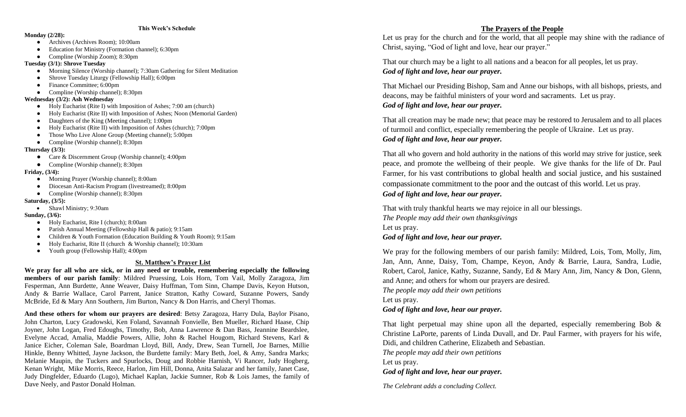#### **This Week's Schedule**

#### **Monday (2/28):**

- Archives (Archives Room); 10:00am
- Education for Ministry (Formation channel); 6:30pm
- Compline (Worship Zoom); 8:30pm

#### **Tuesday (3/1): Shrove Tuesday**

- Morning Silence (Worship channel); 7:30am Gathering for Silent Meditation
- Shrove Tuesday Liturgy (Fellowship Hall); 6:00pm
- Finance Committee; 6:00pm
- Compline (Worship channel); 8:30pm

## **Wednesday (3/2): Ash Wednesday**

- Holy Eucharist (Rite I) with Imposition of Ashes; 7:00 am (church)
- Holy Eucharist (Rite II) with Imposition of Ashes; Noon (Memorial Garden)
- Daughters of the King (Meeting channel); 1:00pm
- Holy Eucharist (Rite II) with Imposition of Ashes (church); 7:00pm
- Those Who Live Alone Group (Meeting channel); 5:00pm
- Compline (Worship channel); 8:30pm

## **Thursday (3/3):**

- Care & Discernment Group (Worship channel); 4:00pm
- Compline (Worship channel); 8:30pm

# **Friday, (3/4):**

- Morning Prayer (Worship channel); 8:00am
- Diocesan Anti-Racism Program (livestreamed); 8:00pm
- Compline (Worship channel); 8:30pm

# **Saturday, (3/5):**

# • Shawl Ministry; 9:30am

# **Sunday, (3/6):**

- Holy Eucharist, Rite I (church); 8:00am
- Parish Annual Meeting (Fellowship Hall & patio); 9:15am
- Children & Youth Formation (Education Building & Youth Room); 9:15am
- Holy Eucharist, Rite II (church & Worship channel); 10:30am
- Youth group (Fellowship Hall); 4:00pm

# **St. Matthew's Prayer List**

**We pray for all who are sick, or in any need or trouble, remembering especially the following members of our parish family**: Mildred Pruessing, Lois Horn, Tom Vail, Molly Zaragoza, Jim Fesperman, Ann Burdette, Anne Weaver, Daisy Huffman, Tom Sinn, Champe Davis, Keyon Hutson, Andy & Barrie Wallace, Carol Parrent, Janice Stratton, Kathy Coward, Suzanne Powers, Sandy McBride, Ed & Mary Ann Southern, Jim Burton, Nancy & Don Harris, and Cheryl Thomas.

**And these others for whom our prayers are desired**: Betsy Zaragoza, Harry Dula, Baylor Pisano, John Charton, Lucy Gradowski, Ken Foland, Savannah Fonvielle, Ben Mueller, Richard Haase, Chip Joyner, John Logan, Fred Edoughs, Timothy, Bob, Anna Lawrence & Dan Bass, Jeannine Beardslee, Evelyne Accad, Amalia, Maddie Powers, Allie, John & Rachel Hougom, Richard Stevens, Karl & Janice Eicher, Coleman Sale, Boardman Lloyd, Bill, Andy, Drew, Sean Turnell, Joe Barnes, Millie Hinkle, Benny Whitted, Jayne Jackson, the Burdette family: Mary Beth, Joel, & Amy, Sandra Marks; Melanie Maupin, the Tuckers and Spurlocks, Doug and Robbie Harnish, Vi Rancer, Judy Hogberg, Kenan Wright, Mike Morris, Reece, Harlon, Jim Hill, Donna, Anita Salazar and her family, Janet Case, Judy Dingfelder, Eduardo (Lugo), Michael Kaplan, Jackie Sumner, Rob & Lois James, the family of Dave Neely, and Pastor Donald Holman.

# **The Prayers of the People**

Let us pray for the church and for the world, that all people may shine with the radiance of Christ, saying, "God of light and love, hear our prayer."

That our church may be a light to all nations and a beacon for all peoples, let us pray. *God of light and love, hear our prayer.*

That Michael our Presiding Bishop, Sam and Anne our bishops, with all bishops, priests, and deacons, may be faithful ministers of your word and sacraments. Let us pray. *God of light and love, hear our prayer.*

That all creation may be made new; that peace may be restored to Jerusalem and to all places of turmoil and conflict, especially remembering the people of Ukraine. Let us pray. *God of light and love, hear our prayer.*

That all who govern and hold authority in the nations of this world may strive for justice, seek peace, and promote the wellbeing of their people. We give thanks for the life of Dr. Paul Farmer, for his vast contributions to global health and social justice, and his sustained compassionate commitment to the poor and the outcast of this world. Let us pray. *God of light and love, hear our prayer.*

That with truly thankful hearts we may rejoice in all our blessings. *The People may add their own thanksgivings*  Let us pray. *God of light and love, hear our prayer.*

We pray for the following members of our parish family: Mildred, Lois, Tom, Molly, Jim, Jan, Ann, Anne, Daisy, Tom, Champe, Keyon, Andy & Barrie, Laura, Sandra, Ludie, Robert, Carol, Janice, Kathy, Suzanne, Sandy, Ed & Mary Ann, Jim, Nancy & Don, Glenn, and Anne; and others for whom our prayers are desired.

*The people may add their own petitions*  Let us pray. *God of light and love, hear our prayer.*

That light perpetual may shine upon all the departed, especially remembering Bob  $\&$ Christine LaPorte, parents of Linda Duvall, and Dr. Paul Farmer, with prayers for his wife, Didi, and children Catherine, Elizabeth and Sebastian.

*The people may add their own petitions* 

Let us pray.

*God of light and love, hear our prayer.*

*The Celebrant adds a concluding Collect.*